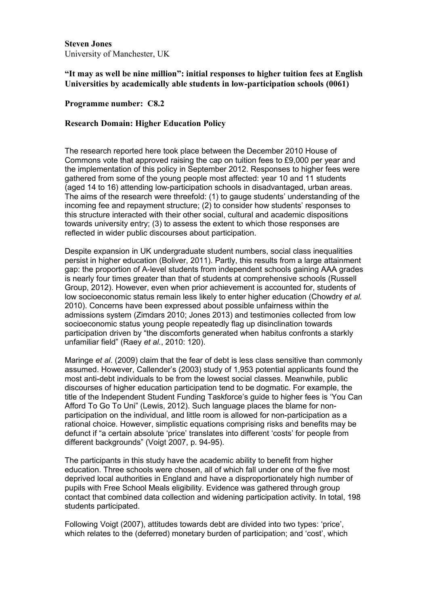**Steven Jones** University of Manchester, UK

# **"It may as well be nine million": initial responses to higher tuition fees at English Universities by academically able students in low-participation schools (0061)**

## **Programme number: C8.2**

### **Research Domain: Higher Education Policy**

The research reported here took place between the December 2010 House of Commons vote that approved raising the cap on tuition fees to £9,000 per year and the implementation of this policy in September 2012. Responses to higher fees were gathered from some of the young people most affected: year 10 and 11 students (aged 14 to 16) attending low-participation schools in disadvantaged, urban areas. The aims of the research were threefold: (1) to gauge students' understanding of the incoming fee and repayment structure; (2) to consider how students' responses to this structure interacted with their other social, cultural and academic dispositions towards university entry; (3) to assess the extent to which those responses are reflected in wider public discourses about participation.

Despite expansion in UK undergraduate student numbers, social class inequalities persist in higher education (Boliver, 2011). Partly, this results from a large attainment gap: the proportion of A-level students from independent schools gaining AAA grades is nearly four times greater than that of students at comprehensive schools (Russell Group, 2012). However, even when prior achievement is accounted for, students of low socioeconomic status remain less likely to enter higher education (Chowdry *et al.* 2010). Concerns have been expressed about possible unfairness within the admissions system (Zimdars 2010; Jones 2013) and testimonies collected from low socioeconomic status young people repeatedly flag up disinclination towards participation driven by "the discomforts generated when habitus confronts a starkly unfamiliar field" (Raey *et al.*, 2010: 120).

Maringe *et al*. (2009) claim that the fear of debt is less class sensitive than commonly assumed. However, Callender's (2003) study of 1,953 potential applicants found the most anti-debt individuals to be from the lowest social classes. Meanwhile, public discourses of higher education participation tend to be dogmatic. For example, the title of the Independent Student Funding Taskforce's guide to higher fees is 'You Can Afford To Go To Uni" (Lewis, 2012). Such language places the blame for nonparticipation on the individual, and little room is allowed for non-participation as a rational choice. However, simplistic equations comprising risks and benefits may be defunct if "a certain absolute 'price' translates into different 'costs' for people from different backgrounds" (Voigt 2007, p. 94-95).

The participants in this study have the academic ability to benefit from higher education. Three schools were chosen, all of which fall under one of the five most deprived local authorities in England and have a disproportionately high number of pupils with Free School Meals eligibility. Evidence was gathered through group contact that combined data collection and widening participation activity. In total, 198 students participated.

Following Voigt (2007), attitudes towards debt are divided into two types: 'price', which relates to the (deferred) monetary burden of participation; and 'cost', which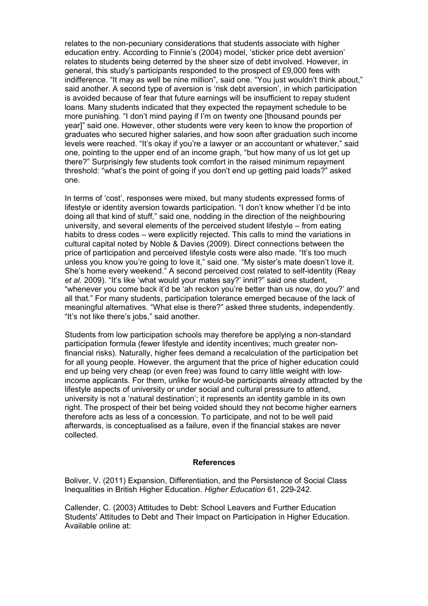relates to the non-pecuniary considerations that students associate with higher education entry. According to Finnie's (2004) model, 'sticker price debt aversion' relates to students being deterred by the sheer size of debt involved. However, in general, this study's participants responded to the prospect of £9,000 fees with indifference. "It may as well be nine million", said one. "You just wouldn't think about," said another. A second type of aversion is 'risk debt aversion', in which participation is avoided because of fear that future earnings will be insufficient to repay student loans. Many students indicated that they expected the repayment schedule to be more punishing. "I don't mind paying if I'm on twenty one [thousand pounds per year]" said one. However, other students were very keen to know the proportion of graduates who secured higher salaries, and how soon after graduation such income levels were reached. "It's okay if you're a lawyer or an accountant or whatever," said one, pointing to the upper end of an income graph, "but how many of us lot get up there?" Surprisingly few students took comfort in the raised minimum repayment threshold: "what's the point of going if you don't end up getting paid loads?" asked one.

In terms of 'cost', responses were mixed, but many students expressed forms of lifestyle or identity aversion towards participation. "I don't know whether I'd be into doing all that kind of stuff," said one, nodding in the direction of the neighbouring university, and several elements of the perceived student lifestyle – from eating habits to dress codes – were explicitly rejected. This calls to mind the variations in cultural capital noted by Noble & Davies (2009). Direct connections between the price of participation and perceived lifestyle costs were also made. "It's too much unless you know you're going to love it," said one. "My sister's mate doesn't love it. She's home every weekend." A second perceived cost related to self-identity (Reay *et al.* 2009). "It's like 'what would your mates say?' innit?" said one student, "whenever you come back it'd be 'ah reckon you're better than us now, do you?' and all that." For many students, participation tolerance emerged because of the lack of meaningful alternatives. "What else is there?" asked three students, independently. "It's not like there's jobs," said another.

Students from low participation schools may therefore be applying a non-standard participation formula (fewer lifestyle and identity incentives; much greater nonfinancial risks). Naturally, higher fees demand a recalculation of the participation bet for all young people. However, the argument that the price of higher education could end up being very cheap (or even free) was found to carry little weight with lowincome applicants. For them, unlike for would-be participants already attracted by the lifestyle aspects of university or under social and cultural pressure to attend, university is not a 'natural destination'; it represents an identity gamble in its own right. The prospect of their bet being voided should they not become higher earners therefore acts as less of a concession. To participate, and not to be well paid afterwards, is conceptualised as a failure, even if the financial stakes are never collected.

#### **References**

Boliver, V. (2011) Expansion, Differentiation, and the Persistence of Social Class Inequalities in British Higher Education. *Higher Education* 61, 229-242.

Callender, C. (2003) Attitudes to Debt: School Leavers and Further Education Students' Attitudes to Debt and Their Impact on Participation in Higher Education. Available online at: